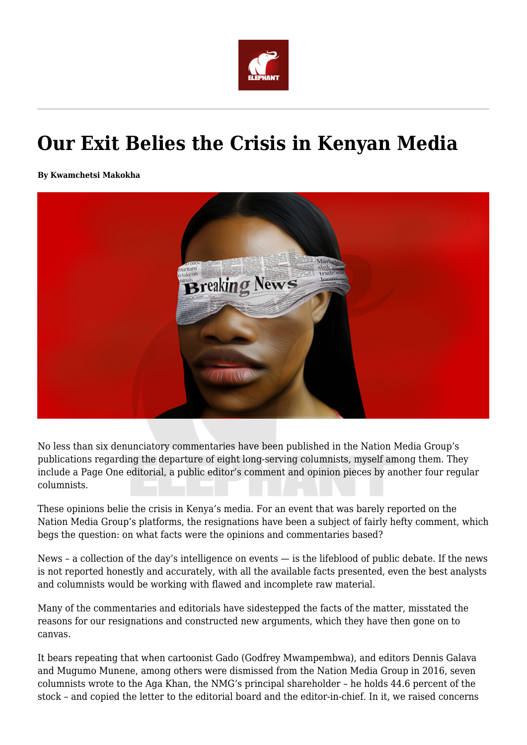

## **Our Exit Belies the Crisis in Kenyan Media**

**By Kwamchetsi Makokha**



No less than six denunciatory commentaries have been published in the Nation Media Group's publications regarding the departure of eight long-serving columnists, myself among them. They include a Page One editorial, a public editor's comment and opinion pieces by another four regular columnists.

These opinions belie the crisis in Kenya's media. For an event that was barely reported on the Nation Media Group's platforms, the resignations have been a subject of fairly hefty comment, which begs the question: on what facts were the opinions and commentaries based?

News – a collection of the day's intelligence on events — is the lifeblood of public debate. If the news is not reported honestly and accurately, with all the available facts presented, even the best analysts and columnists would be working with flawed and incomplete raw material.

Many of the commentaries and editorials have sidestepped the facts of the matter, misstated the reasons for our resignations and constructed new arguments, which they have then gone on to canvas.

It bears repeating that when cartoonist Gado (Godfrey Mwampembwa), and editors Dennis Galava and Mugumo Munene, among others were dismissed from the Nation Media Group in 2016, seven columnists wrote to the Aga Khan, the NMG's principal shareholder – he holds 44.6 percent of the stock – and copied the letter to the editorial board and the editor-in-chief. In it, we raised concerns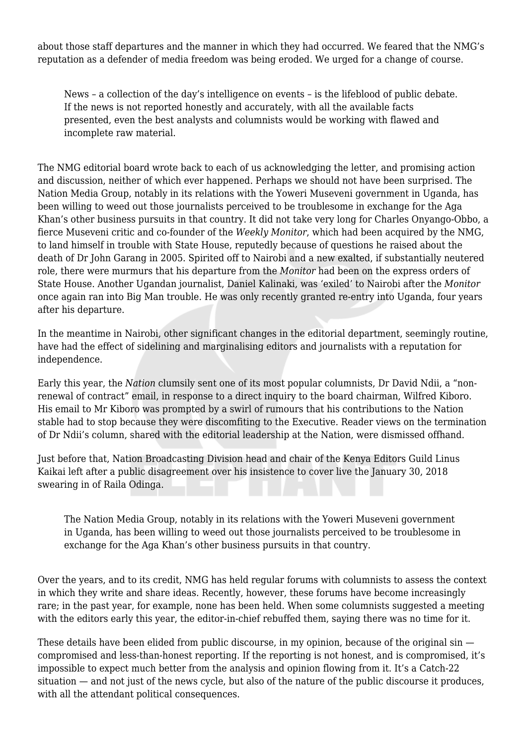about those staff departures and the manner in which they had occurred. We feared that the NMG's reputation as a defender of media freedom was being eroded. We urged for a change of course.

News – a collection of the day's intelligence on events – is the lifeblood of public debate. If the news is not reported honestly and accurately, with all the available facts presented, even the best analysts and columnists would be working with flawed and incomplete raw material.

The NMG editorial board wrote back to each of us acknowledging the letter, and promising action and discussion, neither of which ever happened. Perhaps we should not have been surprised. The Nation Media Group, notably in its relations with the Yoweri Museveni government in Uganda, has been willing to weed out those journalists perceived to be troublesome in exchange for the Aga Khan's other business pursuits in that country. It did not take very long for Charles Onyango-Obbo, a fierce Museveni critic and co-founder of the *Weekly Monitor*, which had been acquired by the NMG, to land himself in trouble with State House, reputedly because of questions he raised about the death of Dr John Garang in 2005. Spirited off to Nairobi and a new exalted, if substantially neutered role, there were murmurs that his departure from the *Monitor* had been on the express orders of State House. Another Ugandan journalist, Daniel Kalinaki, was 'exiled' to Nairobi after the *Monitor* once again ran into Big Man trouble. He was only recently granted re-entry into Uganda, four years after his departure.

In the meantime in Nairobi, other significant changes in the editorial department, seemingly routine, have had the effect of sidelining and marginalising editors and journalists with a reputation for independence.

Early this year, the *Nation* clumsily sent one of its most popular columnists, Dr David Ndii, a "nonrenewal of contract" email, in response to a direct inquiry to the board chairman, Wilfred Kiboro. His email to Mr Kiboro was prompted by a swirl of rumours that his contributions to the Nation stable had to stop because they were discomfiting to the Executive. Reader views on the termination of Dr Ndii's column, shared with the editorial leadership at the Nation, were dismissed offhand.

Just before that, Nation Broadcasting Division head and chair of the Kenya Editors Guild Linus Kaikai left after a public disagreement over his insistence to cover live the January 30, 2018 swearing in of Raila Odinga.

The Nation Media Group, notably in its relations with the Yoweri Museveni government in Uganda, has been willing to weed out those journalists perceived to be troublesome in exchange for the Aga Khan's other business pursuits in that country.

Over the years, and to its credit, NMG has held regular forums with columnists to assess the context in which they write and share ideas. Recently, however, these forums have become increasingly rare; in the past year, for example, none has been held. When some columnists suggested a meeting with the editors early this year, the editor-in-chief rebuffed them, saying there was no time for it.

These details have been elided from public discourse, in my opinion, because of the original sin compromised and less-than-honest reporting. If the reporting is not honest, and is compromised, it's impossible to expect much better from the analysis and opinion flowing from it. It's a Catch-22 situation — and not just of the news cycle, but also of the nature of the public discourse it produces, with all the attendant political consequences.